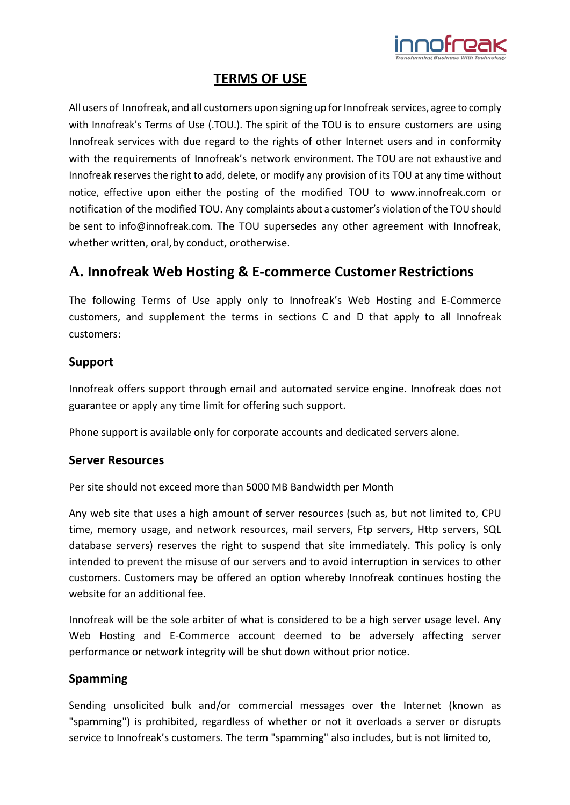

# **TERMS OF USE**

All users of Innofreak, and all customers upon signing up for Innofreak services, agree to comply with Innofreak's Terms of Use (.TOU.). The spirit of the TOU is to ensure customers are using Innofreak services with due regard to the rights of other Internet users and in conformity with the requirements of Innofreak's network environment. The TOU are not exhaustive and Innofreak reserves the right to add, delete, or modify any provision of its TOU at any time without notice, effective upon either the posting of the modified TOU to [www.innofreak.com](http://www.innofreak.com/) or notification of the modified TOU. Any complaints about a customer's violation of the TOU should be sent to [info@innofreak.com.](mailto:info@innofreak.com) The TOU supersedes any other agreement with Innofreak, whether written, oral, by conduct, or otherwise.

# **A. Innofreak Web Hosting & E-commerce Customer Restrictions**

The following Terms of Use apply only to Innofreak's Web Hosting and E‐Commerce customers, and supplement the terms in sections C and D that apply to all Innofreak customers:

# **Support**

Innofreak offers support through email and automated service engine. Innofreak does not guarantee or apply any time limit for offering such support.

Phone support is available only for corporate accounts and dedicated servers alone.

#### **Server Resources**

Per site should not exceed more than 5000 MB Bandwidth per Month

Any web site that uses a high amount of server resources (such as, but not limited to, CPU time, memory usage, and network resources, mail servers, Ftp servers, Http servers, SQL database servers) reserves the right to suspend that site immediately. This policy is only intended to prevent the misuse of our servers and to avoid interruption in services to other customers. Customers may be offered an option whereby Innofreak continues hosting the website for an additional fee.

Innofreak will be the sole arbiter of what is considered to be a high server usage level. Any Web Hosting and E-Commerce account deemed to be adversely affecting server performance or network integrity will be shut down without prior notice.

# **Spamming**

Sending unsolicited bulk and/or commercial messages over the Internet (known as "spamming") is prohibited, regardless of whether or not it overloads a server or disrupts service to Innofreak's customers. The term "spamming" also includes, but is not limited to,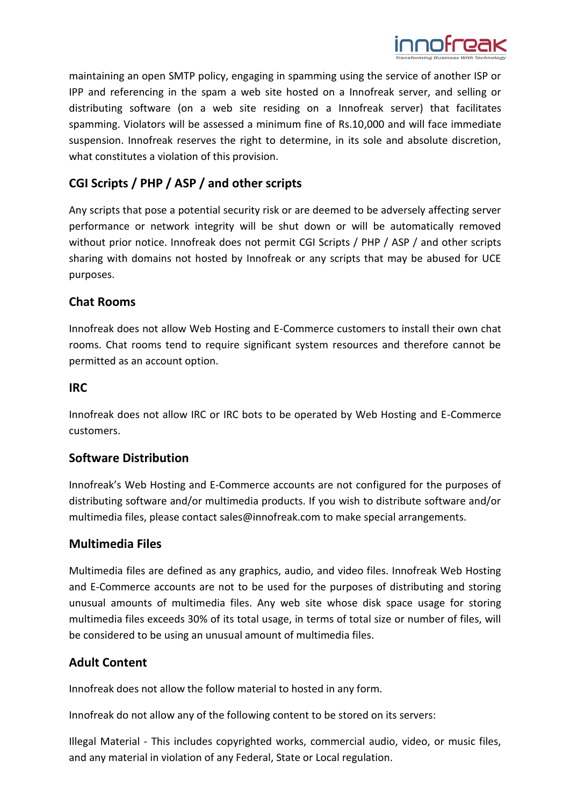

maintaining an open SMTP policy, engaging in spamming using the service of another ISP or IPP and referencing in the spam a web site hosted on a Innofreak server, and selling or distributing software (on a web site residing on a Innofreak server) that facilitates spamming. Violators will be assessed a minimum fine of Rs.10,000 and will face immediate suspension. Innofreak reserves the right to determine, in its sole and absolute discretion, what constitutes a violation of this provision.

# **CGI Scripts / PHP / ASP / and other scripts**

Any scripts that pose a potential security risk or are deemed to be adversely affecting server performance or network integrity will be shut down or will be automatically removed without prior notice. Innofreak does not permit CGI Scripts / PHP / ASP / and other scripts sharing with domains not hosted by Innofreak or any scripts that may be abused for UCE purposes.

# **Chat Rooms**

Innofreak does not allow Web Hosting and E-Commerce customers to install their own chat rooms. Chat rooms tend to require significant system resources and therefore cannot be permitted as an account option.

### **IRC**

Innofreak does not allow IRC or IRC bots to be operated by Web Hosting and E-Commerce customers.

# **Software Distribution**

Innofreak's Web Hosting and E-Commerce accounts are not configured for the purposes of distributing software and/or multimedia products. If you wish to distribute software and/or multimedia files, please contact [sales@innofreak.com t](mailto:sales@innofreak.com)o make special arrangements.

# **Multimedia Files**

Multimedia files are defined as any graphics, audio, and video files. Innofreak Web Hosting and E-Commerce accounts are not to be used for the purposes of distributing and storing unusual amounts of multimedia files. Any web site whose disk space usage for storing multimedia files exceeds 30% of its total usage, in terms of total size or number of files, will be considered to be using an unusual amount of multimedia files.

# **Adult Content**

Innofreak does not allow the follow material to hosted in any form.

Innofreak do not allow any of the following content to be stored on its servers:

Illegal Material - This includes copyrighted works, commercial audio, video, or music files, and any material in violation of any Federal, State or Local regulation.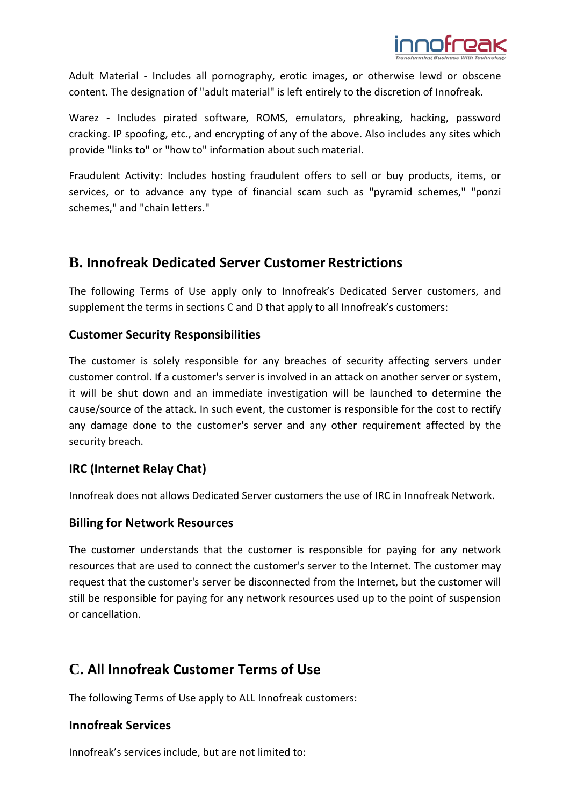

Adult Material - Includes all pornography, erotic images, or otherwise lewd or obscene content. The designation of "adult material" is left entirely to the discretion of Innofreak.

Warez - Includes pirated software, ROMS, emulators, phreaking, hacking, password cracking. IP spoofing, etc., and encrypting of any of the above. Also includes any sites which provide "links to" or "how to" information about such material.

Fraudulent Activity: Includes hosting fraudulent offers to sell or buy products, items, or services, or to advance any type of financial scam such as "pyramid schemes," "ponzi schemes," and "chain letters."

# **B. Innofreak Dedicated Server Customer Restrictions**

The following Terms of Use apply only to Innofreak's Dedicated Server customers, and supplement the terms in sections C and D that apply to all Innofreak's customers:

# **Customer Security Responsibilities**

The customer is solely responsible for any breaches of security affecting servers under customer control. If a customer's server is involved in an attack on another server or system, it will be shut down and an immediate investigation will be launched to determine the cause/source of the attack. In such event, the customer is responsible for the cost to rectify any damage done to the customer's server and any other requirement affected by the security breach.

# **IRC (Internet Relay Chat)**

Innofreak does not allows Dedicated Server customers the use of IRC in Innofreak Network.

#### **Billing for Network Resources**

The customer understands that the customer is responsible for paying for any network resources that are used to connect the customer's server to the Internet. The customer may request that the customer's server be disconnected from the Internet, but the customer will still be responsible for paying for any network resources used up to the point of suspension or cancellation.

# **C. All Innofreak Customer Terms of Use**

The following Terms of Use apply to ALL Innofreak customers:

#### **Innofreak Services**

Innofreak's services include, but are not limited to: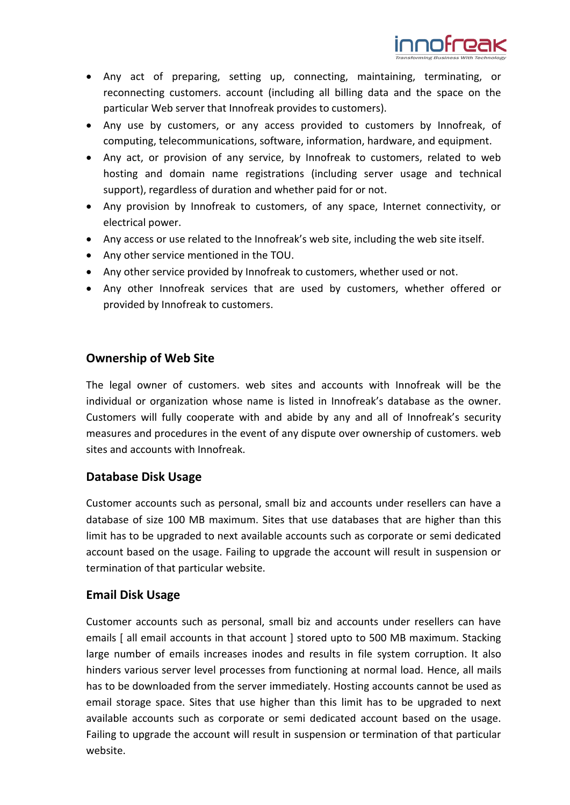

- Any act of preparing, setting up, connecting, maintaining, terminating, or reconnecting customers. account (including all billing data and the space on the particular Web server that Innofreak provides to customers).
- Any use by customers, or any access provided to customers by Innofreak, of computing, telecommunications, software, information, hardware, and equipment.
- Any act, or provision of any service, by Innofreak to customers, related to web hosting and domain name registrations (including server usage and technical support), regardless of duration and whether paid for or not.
- Any provision by Innofreak to customers, of any space, Internet connectivity, or electrical power.
- Any access or use related to the Innofreak's web site, including the web site itself.
- Any other service mentioned in the TOU.
- Any other service provided by Innofreak to customers, whether used or not.
- Any other Innofreak services that are used by customers, whether offered or provided by Innofreak to customers.

### **Ownership of Web Site**

The legal owner of customers. web sites and accounts with Innofreak will be the individual or organization whose name is listed in Innofreak's database as the owner. Customers will fully cooperate with and abide by any and all of Innofreak's security measures and procedures in the event of any dispute over ownership of customers. web sites and accounts with Innofreak.

# **Database Disk Usage**

Customer accounts such as personal, small biz and accounts under resellers can have a database of size 100 MB maximum. Sites that use databases that are higher than this limit has to be upgraded to next available accounts such as corporate or semi dedicated account based on the usage. Failing to upgrade the account will result in suspension or termination of that particular website.

# **Email Disk Usage**

Customer accounts such as personal, small biz and accounts under resellers can have emails [ all email accounts in that account ] stored upto to 500 MB maximum. Stacking large number of emails increases inodes and results in file system corruption. It also hinders various server level processes from functioning at normal load. Hence, all mails has to be downloaded from the server immediately. Hosting accounts cannot be used as email storage space. Sites that use higher than this limit has to be upgraded to next available accounts such as corporate or semi dedicated account based on the usage. Failing to upgrade the account will result in suspension or termination of that particular website.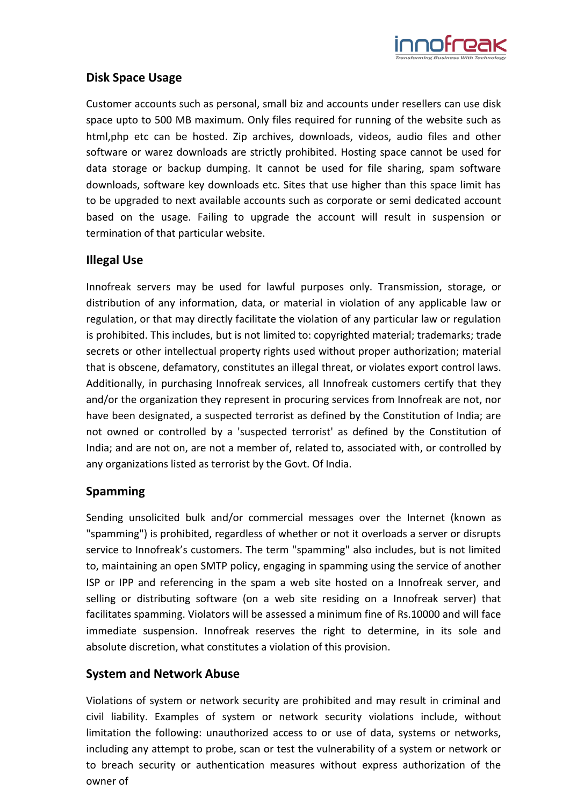

# **Disk Space Usage**

Customer accounts such as personal, small biz and accounts under resellers can use disk space upto to 500 MB maximum. Only files required for running of the website such as html,php etc can be hosted. Zip archives, downloads, videos, audio files and other software or warez downloads are strictly prohibited. Hosting space cannot be used for data storage or backup dumping. It cannot be used for file sharing, spam software downloads, software key downloads etc. Sites that use higher than this space limit has to be upgraded to next available accounts such as corporate or semi dedicated account based on the usage. Failing to upgrade the account will result in suspension or termination of that particular website.

# **Illegal Use**

Innofreak servers may be used for lawful purposes only. Transmission, storage, or distribution of any information, data, or material in violation of any applicable law or regulation, or that may directly facilitate the violation of any particular law or regulation is prohibited. This includes, but is not limited to: copyrighted material; trademarks; trade secrets or other intellectual property rights used without proper authorization; material that is obscene, defamatory, constitutes an illegal threat, or violates export control laws. Additionally, in purchasing Innofreak services, all Innofreak customers certify that they and/or the organization they represent in procuring services from Innofreak are not, nor have been designated, a suspected terrorist as defined by the Constitution of India; are not owned or controlled by a 'suspected terrorist' as defined by the Constitution of India; and are not on, are not a member of, related to, associated with, or controlled by any organizations listed as terrorist by the Govt. Of India.

# **Spamming**

Sending unsolicited bulk and/or commercial messages over the Internet (known as "spamming") is prohibited, regardless of whether or not it overloads a server or disrupts service to Innofreak's customers. The term "spamming" also includes, but is not limited to, maintaining an open SMTP policy, engaging in spamming using the service of another ISP or IPP and referencing in the spam a web site hosted on a Innofreak server, and selling or distributing software (on a web site residing on a Innofreak server) that facilitates spamming. Violators will be assessed a minimum fine of Rs.10000 and will face immediate suspension. Innofreak reserves the right to determine, in its sole and absolute discretion, what constitutes a violation of this provision.

# **System and Network Abuse**

Violations of system or network security are prohibited and may result in criminal and civil liability. Examples of system or network security violations include, without limitation the following: unauthorized access to or use of data, systems or networks, including any attempt to probe, scan or test the vulnerability of a system or network or to breach security or authentication measures without express authorization of the owner of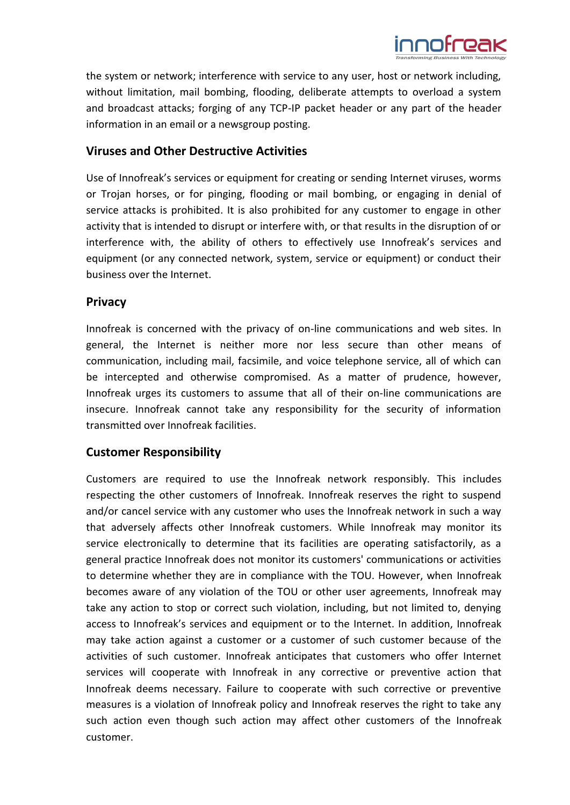

the system or network; interference with service to any user, host or network including, without limitation, mail bombing, flooding, deliberate attempts to overload a system and broadcast attacks; forging of any TCP-IP packet header or any part of the header information in an email or a newsgroup posting.

#### **Viruses and Other Destructive Activities**

Use of Innofreak's services or equipment for creating or sending Internet viruses, worms or Trojan horses, or for pinging, flooding or mail bombing, or engaging in denial of service attacks is prohibited. It is also prohibited for any customer to engage in other activity that is intended to disrupt or interfere with, or that results in the disruption of or interference with, the ability of others to effectively use Innofreak's services and equipment (or any connected network, system, service or equipment) or conduct their business over the Internet.

#### **Privacy**

Innofreak is concerned with the privacy of on-line communications and web sites. In general, the Internet is neither more nor less secure than other means of communication, including mail, facsimile, and voice telephone service, all of which can be intercepted and otherwise compromised. As a matter of prudence, however, Innofreak urges its customers to assume that all of their on-line communications are insecure. Innofreak cannot take any responsibility for the security of information transmitted over Innofreak facilities.

#### **Customer Responsibility**

Customers are required to use the Innofreak network responsibly. This includes respecting the other customers of Innofreak. Innofreak reserves the right to suspend and/or cancel service with any customer who uses the Innofreak network in such a way that adversely affects other Innofreak customers. While Innofreak may monitor its service electronically to determine that its facilities are operating satisfactorily, as a general practice Innofreak does not monitor its customers' communications or activities to determine whether they are in compliance with the TOU. However, when Innofreak becomes aware of any violation of the TOU or other user agreements, Innofreak may take any action to stop or correct such violation, including, but not limited to, denying access to Innofreak's services and equipment or to the Internet. In addition, Innofreak may take action against a customer or a customer of such customer because of the activities of such customer. Innofreak anticipates that customers who offer Internet services will cooperate with Innofreak in any corrective or preventive action that Innofreak deems necessary. Failure to cooperate with such corrective or preventive measures is a violation of Innofreak policy and Innofreak reserves the right to take any such action even though such action may affect other customers of the Innofreak customer.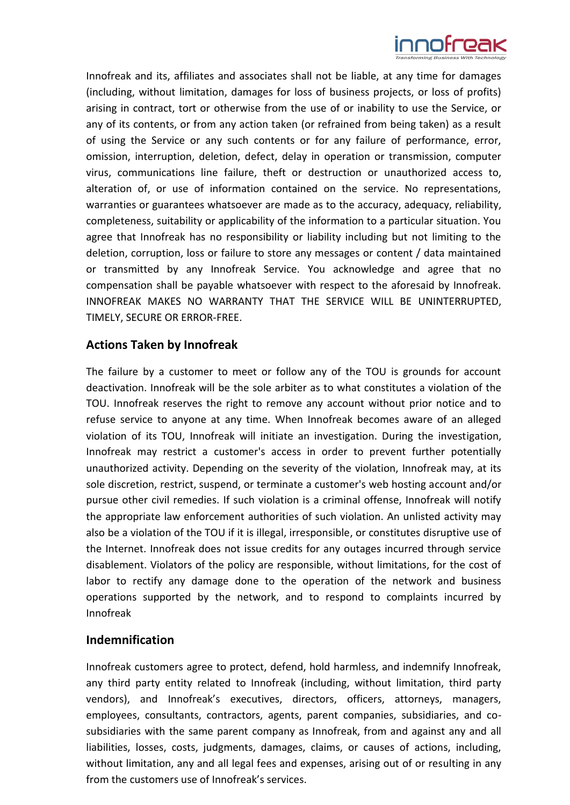

Innofreak and its, affiliates and associates shall not be liable, at any time for damages (including, without limitation, damages for loss of business projects, or loss of profits) arising in contract, tort or otherwise from the use of or inability to use the Service, or any of its contents, or from any action taken (or refrained from being taken) as a result of using the Service or any such contents or for any failure of performance, error, omission, interruption, deletion, defect, delay in operation or transmission, computer virus, communications line failure, theft or destruction or unauthorized access to, alteration of, or use of information contained on the service. No representations, warranties or guarantees whatsoever are made as to the accuracy, adequacy, reliability, completeness, suitability or applicability of the information to a particular situation. You agree that Innofreak has no responsibility or liability including but not limiting to the deletion, corruption, loss or failure to store any messages or content / data maintained or transmitted by any Innofreak Service. You acknowledge and agree that no compensation shall be payable whatsoever with respect to the aforesaid by Innofreak. INNOFREAK MAKES NO WARRANTY THAT THE SERVICE WILL BE UNINTERRUPTED, TIMELY, SECURE OR ERROR-FREE.

### **Actions Taken by Innofreak**

The failure by a customer to meet or follow any of the TOU is grounds for account deactivation. Innofreak will be the sole arbiter as to what constitutes a violation of the TOU. Innofreak reserves the right to remove any account without prior notice and to refuse service to anyone at any time. When Innofreak becomes aware of an alleged violation of its TOU, Innofreak will initiate an investigation. During the investigation, Innofreak may restrict a customer's access in order to prevent further potentially unauthorized activity. Depending on the severity of the violation, Innofreak may, at its sole discretion, restrict, suspend, or terminate a customer's web hosting account and/or pursue other civil remedies. If such violation is a criminal offense, Innofreak will notify the appropriate law enforcement authorities of such violation. An unlisted activity may also be a violation of the TOU if it is illegal, irresponsible, or constitutes disruptive use of the Internet. Innofreak does not issue credits for any outages incurred through service disablement. Violators of the policy are responsible, without limitations, for the cost of labor to rectify any damage done to the operation of the network and business operations supported by the network, and to respond to complaints incurred by Innofreak

#### **Indemnification**

Innofreak customers agree to protect, defend, hold harmless, and indemnify Innofreak, any third party entity related to Innofreak (including, without limitation, third party vendors), and Innofreak's executives, directors, officers, attorneys, managers, employees, consultants, contractors, agents, parent companies, subsidiaries, and cosubsidiaries with the same parent company as Innofreak, from and against any and all liabilities, losses, costs, judgments, damages, claims, or causes of actions, including, without limitation, any and all legal fees and expenses, arising out of or resulting in any from the customers use of Innofreak's services.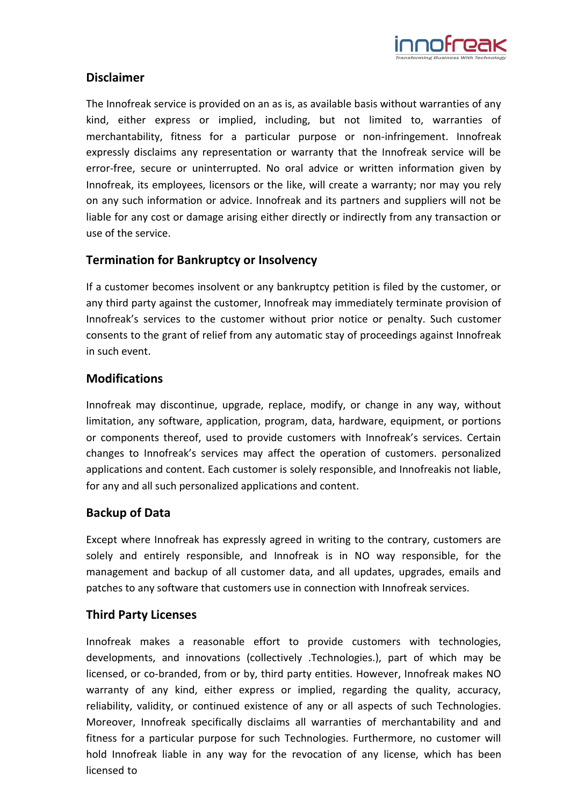

# **Disclaimer**

The Innofreak service is provided on an as is, as available basis without warranties of any kind, either express or implied, including, but not limited to, warranties of merchantability, fitness for a particular purpose or non-infringement. Innofreak expressly disclaims any representation or warranty that the Innofreak service will be error-free, secure or uninterrupted. No oral advice or written information given by Innofreak, its employees, licensors or the like, will create a warranty; nor may you rely on any such information or advice. Innofreak and its partners and suppliers will not be liable for any cost or damage arising either directly or indirectly from any transaction or use of the service.

# **Termination for Bankruptcy or Insolvency**

If a customer becomes insolvent or any bankruptcy petition is filed by the customer, or any third party against the customer, Innofreak may immediately terminate provision of Innofreak's services to the customer without prior notice or penalty. Such customer consents to the grant of relief from any automatic stay of proceedings against Innofreak in such event.

# **Modifications**

Innofreak may discontinue, upgrade, replace, modify, or change in any way, without limitation, any software, application, program, data, hardware, equipment, or portions or components thereof, used to provide customers with Innofreak's services. Certain changes to Innofreak's services may affect the operation of customers. personalized applications and content. Each customer is solely responsible, and Innofreakis not liable, for any and all such personalized applications and content.

# **Backup of Data**

Except where Innofreak has expressly agreed in writing to the contrary, customers are solely and entirely responsible, and Innofreak is in NO way responsible, for the management and backup of all customer data, and all updates, upgrades, emails and patches to any software that customers use in connection with Innofreak services.

# **Third Party Licenses**

Innofreak makes a reasonable effort to provide customers with technologies, developments, and innovations (collectively .Technologies.), part of which may be licensed, or co-branded, from or by, third party entities. However, Innofreak makes NO warranty of any kind, either express or implied, regarding the quality, accuracy, reliability, validity, or continued existence of any or all aspects of such Technologies. Moreover, Innofreak specifically disclaims all warranties of merchantability and and fitness for a particular purpose for such Technologies. Furthermore, no customer will hold Innofreak liable in any way for the revocation of any license, which has been licensed to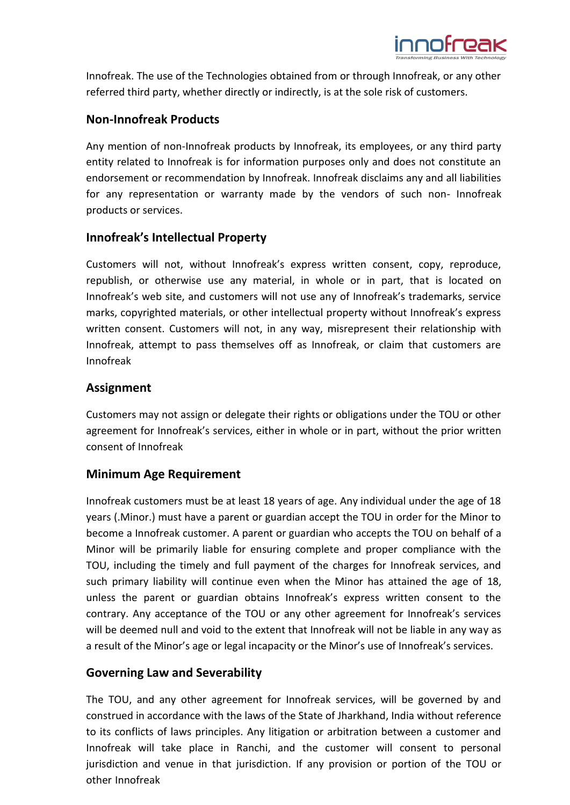

Innofreak. The use of the Technologies obtained from or through Innofreak, or any other referred third party, whether directly or indirectly, is at the sole risk of customers.

# **Non-Innofreak Products**

Any mention of non-Innofreak products by Innofreak, its employees, or any third party entity related to Innofreak is for information purposes only and does not constitute an endorsement or recommendation by Innofreak. Innofreak disclaims any and all liabilities for any representation or warranty made by the vendors of such non- Innofreak products or services.

# **Innofreak's Intellectual Property**

Customers will not, without Innofreak's express written consent, copy, reproduce, republish, or otherwise use any material, in whole or in part, that is located on Innofreak's web site, and customers will not use any of Innofreak's trademarks, service marks, copyrighted materials, or other intellectual property without Innofreak's express written consent. Customers will not, in any way, misrepresent their relationship with Innofreak, attempt to pass themselves off as Innofreak, or claim that customers are Innofreak

# **Assignment**

Customers may not assign or delegate their rights or obligations under the TOU or other agreement for Innofreak's services, either in whole or in part, without the prior written consent of Innofreak

# **Minimum Age Requirement**

Innofreak customers must be at least 18 years of age. Any individual under the age of 18 years (.Minor.) must have a parent or guardian accept the TOU in order for the Minor to become a Innofreak customer. A parent or guardian who accepts the TOU on behalf of a Minor will be primarily liable for ensuring complete and proper compliance with the TOU, including the timely and full payment of the charges for Innofreak services, and such primary liability will continue even when the Minor has attained the age of 18, unless the parent or guardian obtains Innofreak's express written consent to the contrary. Any acceptance of the TOU or any other agreement for Innofreak's services will be deemed null and void to the extent that Innofreak will not be liable in any way as a result of the Minor's age or legal incapacity or the Minor's use of Innofreak's services.

# **Governing Law and Severability**

The TOU, and any other agreement for Innofreak services, will be governed by and construed in accordance with the laws of the State of Jharkhand, India without reference to its conflicts of laws principles. Any litigation or arbitration between a customer and Innofreak will take place in Ranchi, and the customer will consent to personal jurisdiction and venue in that jurisdiction. If any provision or portion of the TOU or other Innofreak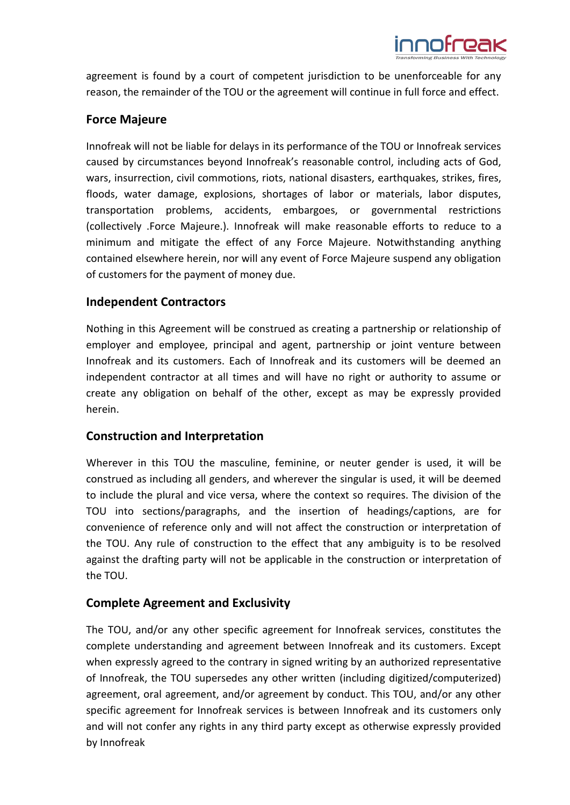

agreement is found by a court of competent jurisdiction to be unenforceable for any reason, the remainder of the TOU or the agreement will continue in full force and effect.

# **Force Majeure**

Innofreak will not be liable for delays in its performance of the TOU or Innofreak services caused by circumstances beyond Innofreak's reasonable control, including acts of God, wars, insurrection, civil commotions, riots, national disasters, earthquakes, strikes, fires, floods, water damage, explosions, shortages of labor or materials, labor disputes, transportation problems, accidents, embargoes, or governmental restrictions (collectively .Force Majeure.). Innofreak will make reasonable efforts to reduce to a minimum and mitigate the effect of any Force Majeure. Notwithstanding anything contained elsewhere herein, nor will any event of Force Majeure suspend any obligation of customers for the payment of money due.

# **Independent Contractors**

Nothing in this Agreement will be construed as creating a partnership or relationship of employer and employee, principal and agent, partnership or joint venture between Innofreak and its customers. Each of Innofreak and its customers will be deemed an independent contractor at all times and will have no right or authority to assume or create any obligation on behalf of the other, except as may be expressly provided herein.

# **Construction and Interpretation**

Wherever in this TOU the masculine, feminine, or neuter gender is used, it will be construed as including all genders, and wherever the singular is used, it will be deemed to include the plural and vice versa, where the context so requires. The division of the TOU into sections/paragraphs, and the insertion of headings/captions, are for convenience of reference only and will not affect the construction or interpretation of the TOU. Any rule of construction to the effect that any ambiguity is to be resolved against the drafting party will not be applicable in the construction or interpretation of the TOU.

# **Complete Agreement and Exclusivity**

The TOU, and/or any other specific agreement for Innofreak services, constitutes the complete understanding and agreement between Innofreak and its customers. Except when expressly agreed to the contrary in signed writing by an authorized representative of Innofreak, the TOU supersedes any other written (including digitized/computerized) agreement, oral agreement, and/or agreement by conduct. This TOU, and/or any other specific agreement for Innofreak services is between Innofreak and its customers only and will not confer any rights in any third party except as otherwise expressly provided by Innofreak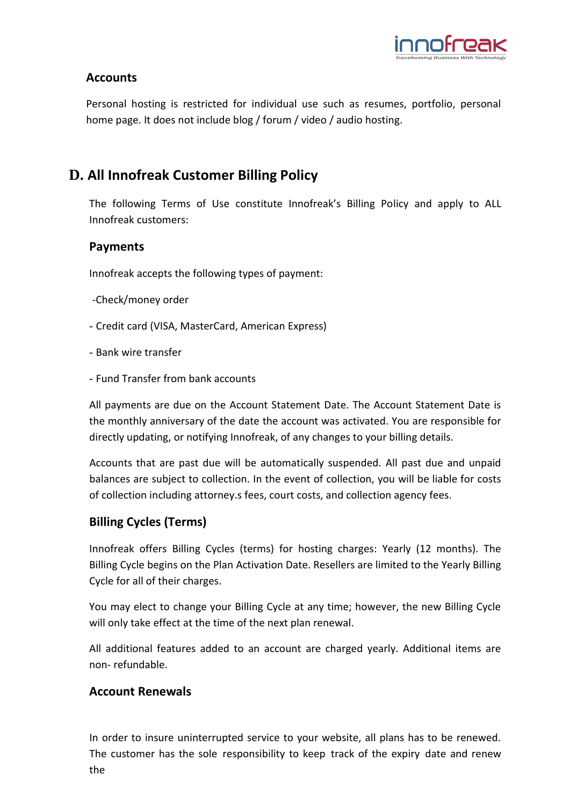

# **Accounts**

Personal hosting is restricted for individual use such as resumes, portfolio, personal home page. It does not include blog / forum / video / audio hosting.

# **D. All Innofreak Customer Billing Policy**

The following Terms of Use constitute Innofreak's Billing Policy and apply to ALL Innofreak customers:

# **Payments**

Innofreak accepts the following types of payment:

- -Check/money order
- Credit card (VISA, MasterCard, American Express)
- Bank wire transfer
- Fund Transfer from bank accounts

All payments are due on the Account Statement Date. The Account Statement Date is the monthly anniversary of the date the account was activated. You are responsible for directly updating, or notifying Innofreak, of any changes to your billing details.

Accounts that are past due will be automatically suspended. All past due and unpaid balances are subject to collection. In the event of collection, you will be liable for costs of collection including attorney.s fees, court costs, and collection agency fees.

# **Billing Cycles (Terms)**

Innofreak offers Billing Cycles (terms) for hosting charges: Yearly (12 months). The Billing Cycle begins on the Plan Activation Date. Resellers are limited to the Yearly Billing Cycle for all of their charges.

You may elect to change your Billing Cycle at any time; however, the new Billing Cycle will only take effect at the time of the next plan renewal.

All additional features added to an account are charged yearly. Additional items are non- refundable.

# **Account Renewals**

In order to insure uninterrupted service to your website, all plans has to be renewed. The customer has the sole responsibility to keep track of the expiry date and renew the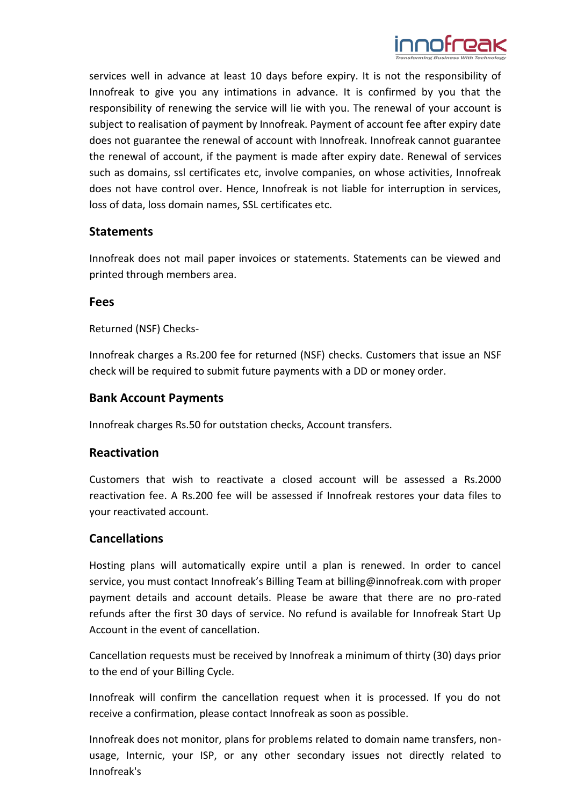

services well in advance at least 10 days before expiry. It is not the responsibility of Innofreak to give you any intimations in advance. It is confirmed by you that the responsibility of renewing the service will lie with you. The renewal of your account is subject to realisation of payment by Innofreak. Payment of account fee after expiry date does not guarantee the renewal of account with Innofreak. Innofreak cannot guarantee the renewal of account, if the payment is made after expiry date. Renewal of services such as domains, ssl certificates etc, involve companies, on whose activities, Innofreak does not have control over. Hence, Innofreak is not liable for interruption in services, loss of data, loss domain names, SSL certificates etc.

### **Statements**

Innofreak does not mail paper invoices or statements. Statements can be viewed and printed through members area.

#### **Fees**

Returned (NSF) Checks-

Innofreak charges a Rs.200 fee for returned (NSF) checks. Customers that issue an NSF check will be required to submit future payments with a DD or money order.

### **Bank Account Payments**

Innofreak charges Rs.50 for outstation checks, Account transfers.

#### **Reactivation**

Customers that wish to reactivate a closed account will be assessed a Rs.2000 reactivation fee. A Rs.200 fee will be assessed if Innofreak restores your data files to your reactivated account.

#### **Cancellations**

Hosting plans will automatically expire until a plan is renewed. In order to cancel service, you must contact Innofreak's Billing Team at [billing@innofreak.com](mailto:billing@innofreak.com) with proper payment details and account details. Please be aware that there are no pro-rated refunds after the first 30 days of service. No refund is available for Innofreak Start Up Account in the event of cancellation.

Cancellation requests must be received by Innofreak a minimum of thirty (30) days prior to the end of your Billing Cycle.

Innofreak will confirm the cancellation request when it is processed. If you do not receive a confirmation, please contact Innofreak as soon as possible.

Innofreak does not monitor, plans for problems related to domain name transfers, nonusage, Internic, your ISP, or any other secondary issues not directly related to Innofreak's